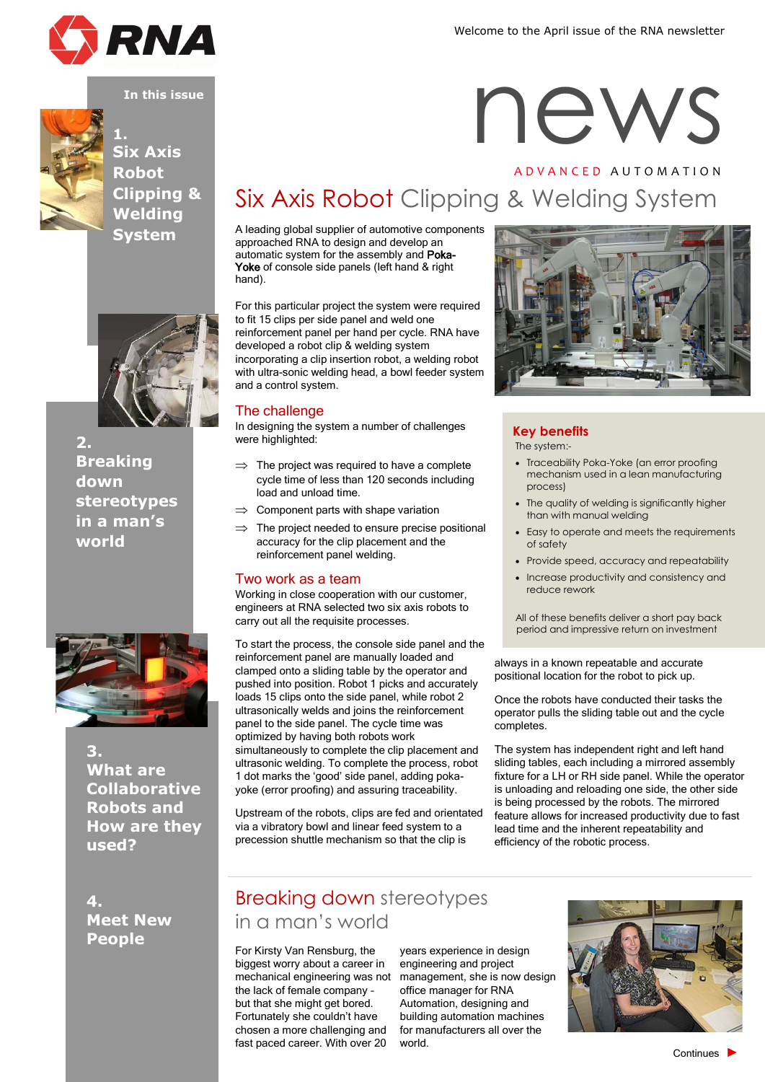





**1. Six Axis Robot Clipping & Welding System**



**2. Breaking down stereotypes in a man's world**



**3. What are Collaborative Robots and How are they used?**

**4. Meet New People**

## Six Axis Robot Clipping & Welding System

A leading global supplier of automotive components approached RNA to design and develop an automatic system for the assembly and Poka-Yoke of console side panels (left hand & right hand).

For this particular project the system were required to fit 15 clips per side panel and weld one reinforcement panel per hand per cycle. RNA have developed a robot clip & welding system incorporating a clip insertion robot, a welding robot with ultra-sonic welding head, a bowl feeder system and a control system.

#### The challenge

In designing the system a number of challenges were highlighted:

- $\Rightarrow$  The project was required to have a complete cycle time of less than 120 seconds including load and unload time.
- $\Rightarrow$  Component parts with shape variation
- $\Rightarrow$  The project needed to ensure precise positional accuracy for the clip placement and the reinforcement panel welding.

#### Two work as a team

Working in close cooperation with our customer, engineers at RNA selected two six axis robots to carry out all the requisite processes.

To start the process, the console side panel and the reinforcement panel are manually loaded and clamped onto a sliding table by the operator and pushed into position. Robot 1 picks and accurately loads 15 clips onto the side panel, while robot 2 ultrasonically welds and joins the reinforcement panel to the side panel. The cycle time was optimized by having both robots work simultaneously to complete the clip placement and ultrasonic welding. To complete the process, robot 1 dot marks the 'good' side panel, adding pokayoke (error proofing) and assuring traceability.

Upstream of the robots, clips are fed and orientated via a vibratory bowl and linear feed system to a precession shuttle mechanism so that the clip is

## Breaking down stereotypes in a man's world

For Kirsty Van Rensburg, the biggest worry about a career in the lack of female company – but that she might get bored. Fortunately she couldn't have chosen a more challenging and fast paced career. With over 20

mechanical engineering was not management, she is now design years experience in design engineering and project office manager for RNA Automation, designing and building automation machines for manufacturers all over the world.



# **INNA**<br>
In this issue<br>
In this issue<br> **In this issue**<br> **In this issue**<br> **In this issue** A D V A N C E D A U T O M A T I O N



**Key benefits** The system:-

- Traceability Poka-Yoke (an error proofing mechanism used in a lean manufacturing process)
- The quality of welding is significantly higher than with manual welding
- Easy to operate and meets the requirements of safety
- Provide speed, accuracy and repeatability
- Increase productivity and consistency and reduce rework

All of these benefits deliver a short pay back period and impressive return on investment

always in a known repeatable and accurate positional location for the robot to pick up.

Once the robots have conducted their tasks the operator pulls the sliding table out and the cycle completes.

The system has independent right and left hand sliding tables, each including a mirrored assembly fixture for a LH or RH side panel. While the operator is unloading and reloading one side, the other side is being processed by the robots. The mirrored feature allows for increased productivity due to fast lead time and the inherent repeatability and efficiency of the robotic process.